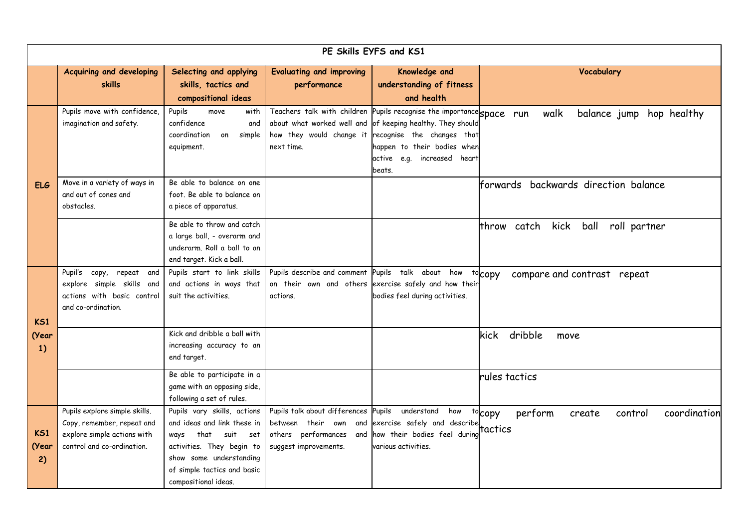| PE Skills EYFS and KS1         |                                                                                                                          |                                                                                                                                                                                                       |                                                                                                               |                                                                                                                                                                                                                |                                                                   |  |  |
|--------------------------------|--------------------------------------------------------------------------------------------------------------------------|-------------------------------------------------------------------------------------------------------------------------------------------------------------------------------------------------------|---------------------------------------------------------------------------------------------------------------|----------------------------------------------------------------------------------------------------------------------------------------------------------------------------------------------------------------|-------------------------------------------------------------------|--|--|
|                                | Acquiring and developing<br><b>skills</b>                                                                                | Selecting and applying<br>skills, tactics and<br>compositional ideas                                                                                                                                  | <b>Evaluating and improving</b><br>performance                                                                | Knowledge and<br>understanding of fitness<br>and health                                                                                                                                                        | Vocabulary                                                        |  |  |
|                                | Pupils move with confidence,<br>imagination and safety.                                                                  | Pupils<br>with<br>move<br>confidence<br>and<br>coordination<br>simple<br>on<br>equipment.                                                                                                             | Teachers talk with children<br>how they would change it<br>next time.                                         | Pupils recognise the importances space run<br>about what worked well and of keeping healthy. They should<br>recognise the changes that<br>happen to their bodies when<br>active e.g. increased heart<br>beats. | walk<br>balance jump<br>hop healthy                               |  |  |
| <b>ELG</b>                     | Move in a variety of ways in<br>and out of cones and<br>obstacles.                                                       | Be able to balance on one<br>foot. Be able to balance on<br>a piece of apparatus.                                                                                                                     |                                                                                                               |                                                                                                                                                                                                                | lforwards backwards direction balance                             |  |  |
|                                |                                                                                                                          | Be able to throw and catch<br>a large ball, - overarm and<br>underarm. Roll a ball to an<br>end target. Kick a ball.                                                                                  |                                                                                                               |                                                                                                                                                                                                                | catch<br>kick<br>ball<br>roll partner<br>throw                    |  |  |
| K51                            | Pupil's copy, repeat<br>and<br>explore simple skills and<br>actions with basic control<br>and co-ordination.             | Pupils start to link skills<br>and actions in ways that<br>suit the activities.                                                                                                                       | Pupils describe and comment<br>on their own and others<br>actions.                                            | Pupils talk about<br>how<br>exercise safely and how their<br>bodies feel during activities.                                                                                                                    | tocopy<br>compare and contrast repeat                             |  |  |
| (Year<br>1)                    |                                                                                                                          | Kick and dribble a ball with<br>increasing accuracy to an<br>end target.                                                                                                                              |                                                                                                               |                                                                                                                                                                                                                | dribble<br><b>kick</b><br>move                                    |  |  |
|                                |                                                                                                                          | Be able to participate in a<br>game with an opposing side,<br>following a set of rules.                                                                                                               |                                                                                                               |                                                                                                                                                                                                                | rules tactics                                                     |  |  |
| K <sub>S1</sub><br>(Year<br>2) | Pupils explore simple skills.<br>Copy, remember, repeat and<br>explore simple actions with<br>control and co-ordination. | Pupils vary skills, actions<br>and ideas and link these in<br>that<br>suit set<br>ways<br>activities. They begin to<br>show some understanding<br>of simple tactics and basic<br>compositional ideas. | Pupils talk about differences<br>between their own and<br>others performances<br>and<br>suggest improvements. | Pupils<br>understand<br>how<br>exercise safely and describe<br>how their bodies feel during<br>various activities.                                                                                             | tocopy<br>perform<br>coordination<br>control<br>create<br>tactics |  |  |